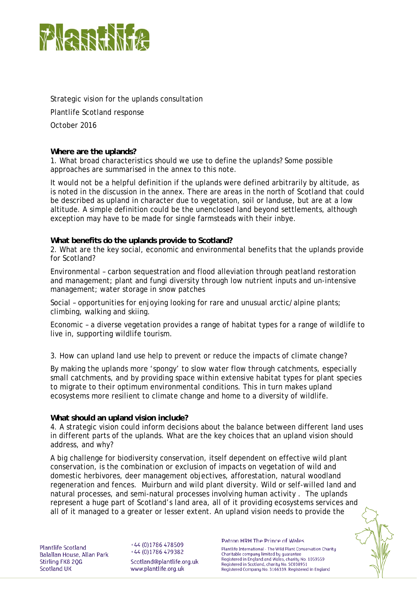

Strategic vision for the uplands consultation Plantlife Scotland response October 2016

## **Where are the uplands?**

1. What broad characteristics should we use to define the uplands? Some possible approaches are summarised in the annex to this note.

It would not be a helpful definition if the uplands were defined arbitrarily by altitude, as is noted in the discussion in the annex. There are areas in the north of Scotland that could be described as upland in character due to vegetation, soil or landuse, but are at a low altitude. A simple definition could be the unenclosed land beyond settlements, although exception may have to be made for single farmsteads with their inbye.

## **What benefits do the uplands provide to Scotland?**

2. What are the key social, economic and environmental benefits that the uplands provide for Scotland?

Environmental – carbon sequestration and flood alleviation through peatland restoration and management; plant and fungi diversity through low nutrient inputs and un-intensive management; water storage in snow patches

Social – opportunities for enjoying looking for rare and unusual arctic/alpine plants; climbing, walking and skiing.

Economic – a diverse vegetation provides a range of habitat types for a range of wildlife to live in, supporting wildlife tourism.

3. How can upland land use help to prevent or reduce the impacts of climate change?

By making the uplands more 'spongy' to slow water flow through catchments, especially small catchments, and by providing space within extensive habitat types for plant species to migrate to their optimum environmental conditions. This in turn makes upland ecosystems more resilient to climate change and home to a diversity of wildlife.

## **What should an upland vision include?**

4. A strategic vision could inform decisions about the balance between different land uses in different parts of the uplands. What are the key choices that an upland vision should address, and why?

A big challenge for biodiversity conservation, itself dependent on effective wild plant conservation, is the combination or exclusion of impacts on vegetation of wild and domestic herbivores, deer management objectives, afforestation, natural woodland regeneration and fences. Muirburn and wild plant diversity. Wild or self-willed land and natural processes, and semi-natural processes involving human activity . The uplands represent a huge part of Scotland's land area, all of it providing ecosystems services and all of it managed to a greater or lesser extent. An upland vision needs to provide the

Plantlife Scotland Balallan House, Allan Park Stirling FK8 2QG **Scotland UK** 

+44 (0)1786 478509 +44 (0)1786 479382 Scotland@plantlife.org.uk www.plantlife.org.uk

Patron HRH The Prince of Wales

Plantlife International - The Wild Plant Conservation Charity Charitable company limited by guarantee Registered in England and Wales, charity No. 1059559 Registered in Scotland, charity No. SC038951 Registered Company No. 3166339. Registered in England